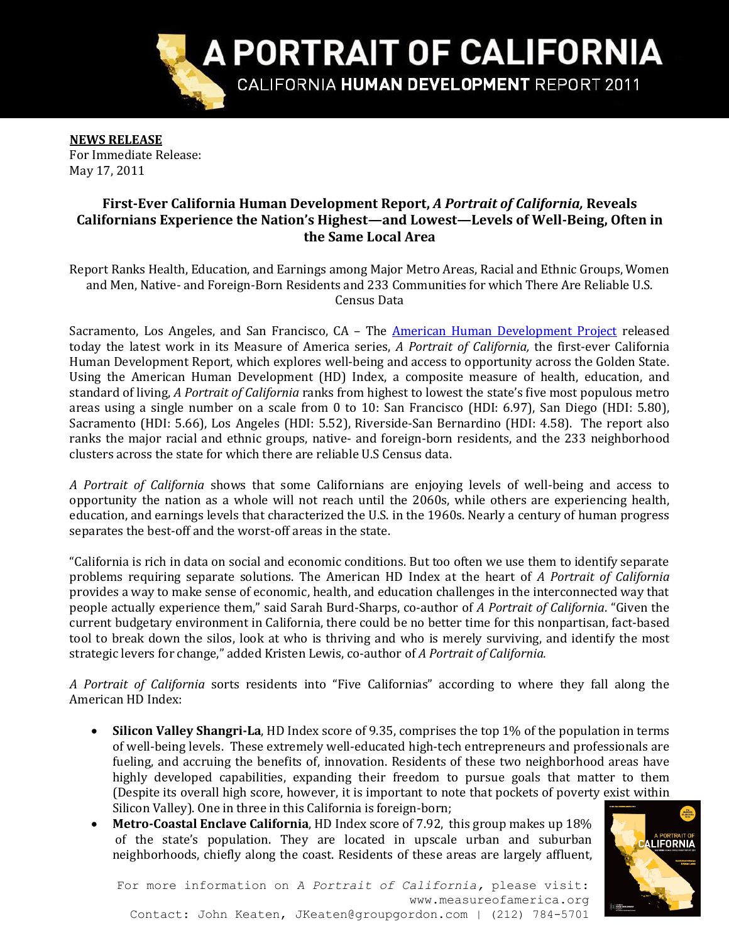

**NEWS RELEASE** For Immediate Release: May 17, 2011

# **First-Ever California Human Development Report,** *A Portrait of California,* **Reveals Californians Experience the Nation's Highest—and Lowest—Levels of Well-Being, Often in the Same Local Area**

Report Ranks Health, Education, and Earnings among Major Metro Areas, Racial and Ethnic Groups, Women and Men, Native- and Foreign-Born Residents and 233 Communities for which There Are Reliable U.S. Census Data

Sacramento, Los Angeles, and San Francisco, CA – The [American Human Development Project](http://www.measureofamerica.org/) released today the latest work in its Measure of America series, *A Portrait of California,* the first-ever California Human Development Report, which explores well-being and access to opportunity across the Golden State. Using the American Human Development (HD) Index, a composite measure of health, education, and standard of living, *A Portrait of California* ranks from highest to lowest the state's five most populous metro areas using a single number on a scale from 0 to 10: San Francisco (HDI: 6.97), San Diego (HDI: 5.80), Sacramento (HDI: 5.66), Los Angeles (HDI: 5.52), Riverside-San Bernardino (HDI: 4.58). The report also ranks the major racial and ethnic groups, native- and foreign-born residents, and the 233 neighborhood clusters across the state for which there are reliable U.S Census data.

*A Portrait of California* shows that some Californians are enjoying levels of well-being and access to opportunity the nation as a whole will not reach until the 2060s, while others are experiencing health, education, and earnings levels that characterized the U.S. in the 1960s. Nearly a century of human progress separates the best-off and the worst-off areas in the state.

"California is rich in data on social and economic conditions. But too often we use them to identify separate problems requiring separate solutions. The American HD Index at the heart of *A Portrait of California* provides a way to make sense of economic, health, and education challenges in the interconnected way that people actually experience them," said Sarah Burd-Sharps, co-author of *A Portrait of California*. "Given the current budgetary environment in California, there could be no better time for this nonpartisan, fact-based tool to break down the silos, look at who is thriving and who is merely surviving, and identify the most strategic levers for change," added Kristen Lewis, co-author of *A Portrait of California.*

*A Portrait of California* sorts residents into "Five Californias" according to where they fall along the American HD Index:

- **Silicon Valley Shangri-La**, HD Index score of 9.35, comprises the top 1% of the population in terms of well-being levels. These extremely well-educated high-tech entrepreneurs and professionals are fueling, and accruing the benefits of, innovation. Residents of these two neighborhood areas have highly developed capabilities, expanding their freedom to pursue goals that matter to them (Despite its overall high score, however, it is important to note that pockets of poverty exist within Silicon Valley). One in three in this California is foreign-born;
- **Metro-Coastal Enclave California**, HD Index score of 7.92, this group makes up 18% of the state's population. They are located in upscale urban and suburban neighborhoods, chiefly along the coast. Residents of these areas are largely affluent,



For more information on *A Portrait of California,* please visit: www.measureofamerica.org Contact: John Keaten, JKeaten@groupgordon.com | (212) 784-5701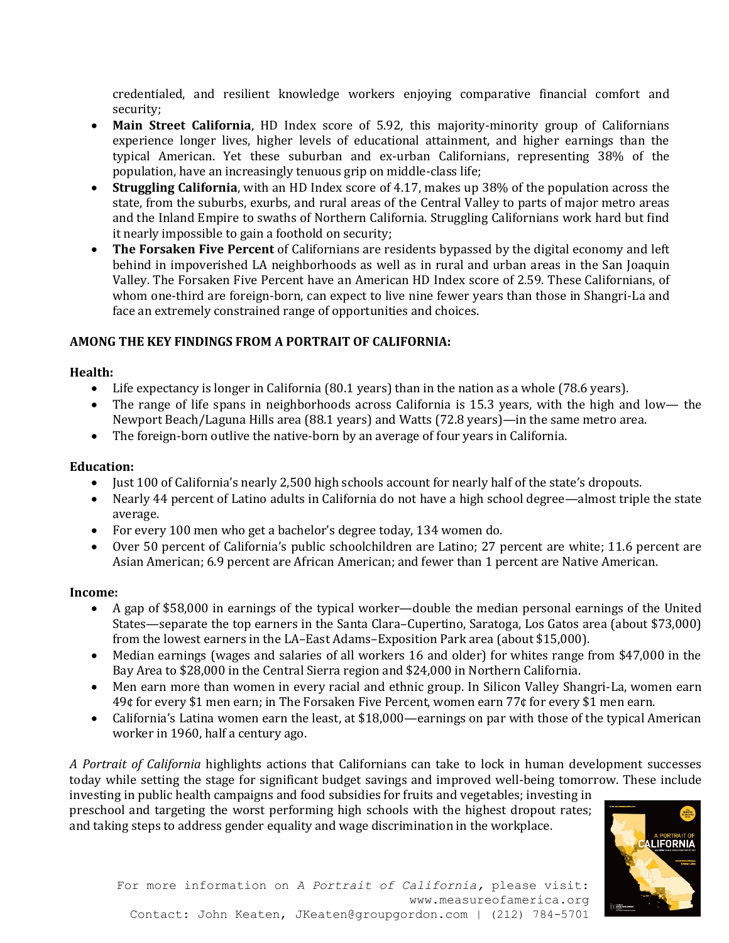credentialed, and resilient knowledge workers enjoying comparative financial comfort and security;

- **Main Street California**, HD Index score of 5.92, this majority-minority group of Californians experience longer lives, higher levels of educational attainment, and higher earnings than the typical American. Yet these suburban and ex-urban Californians, representing 38% of the population, have an increasingly tenuous grip on middle-class life;
- **Struggling California**, with an HD Index score of 4.17, makes up 38% of the population across the state, from the suburbs, exurbs, and rural areas of the Central Valley to parts of major metro areas and the Inland Empire to swaths of Northern California. Struggling Californians work hard but find it nearly impossible to gain a foothold on security;
- **The Forsaken Five Percent** of Californians are residents bypassed by the digital economy and left behind in impoverished LA neighborhoods as well as in rural and urban areas in the San Joaquin Valley. The Forsaken Five Percent have an American HD Index score of 2.59. These Californians, of whom one-third are foreign-born, can expect to live nine fewer years than those in Shangri-La and face an extremely constrained range of opportunities and choices.

### **AMONG THE KEY FINDINGS FROM A PORTRAIT OF CALIFORNIA:**

### **Health:**

- Life expectancy is longer in California (80.1 years) than in the nation as a whole (78.6 years).
- The range of life spans in neighborhoods across California is 15.3 years, with the high and low— the Newport Beach/Laguna Hills area (88.1 years) and Watts (72.8 years)—in the same metro area.
- The foreign-born outlive the native-born by an average of four years in California.

## **Education:**

- Just 100 of California's nearly 2,500 high schools account for nearly half of the state's dropouts.
- Nearly 44 percent of Latino adults in California do not have a high school degree—almost triple the state average.
- For every 100 men who get a bachelor's degree today, 134 women do.
- Over 50 percent of California's public schoolchildren are Latino; 27 percent are white; 11.6 percent are Asian American; 6.9 percent are African American; and fewer than 1 percent are Native American.

## **Income:**

- A gap of \$58,000 in earnings of the typical worker—double the median personal earnings of the United States—separate the top earners in the Santa Clara–Cupertino, Saratoga, Los Gatos area (about \$73,000) from the lowest earners in the LA–East Adams–Exposition Park area (about \$15,000).
- Median earnings (wages and salaries of all workers 16 and older) for whites range from \$47,000 in the Bay Area to \$28,000 in the Central Sierra region and \$24,000 in Northern California.
- Men earn more than women in every racial and ethnic group. In Silicon Valley Shangri-La, women earn 49¢ for every \$1 men earn; in The Forsaken Five Percent, women earn 77¢ for every \$1 men earn.
- California's Latina women earn the least, at \$18,000—earnings on par with those of the typical American worker in 1960, half a century ago.

*A Portrait of California* highlights actions that Californians can take to lock in human development successes today while setting the stage for significant budget savings and improved well-being tomorrow. These include

investing in public health campaigns and food subsidies for fruits and vegetables; investing in preschool and targeting the worst performing high schools with the highest dropout rates; and taking steps to address gender equality and wage discrimination in the workplace.